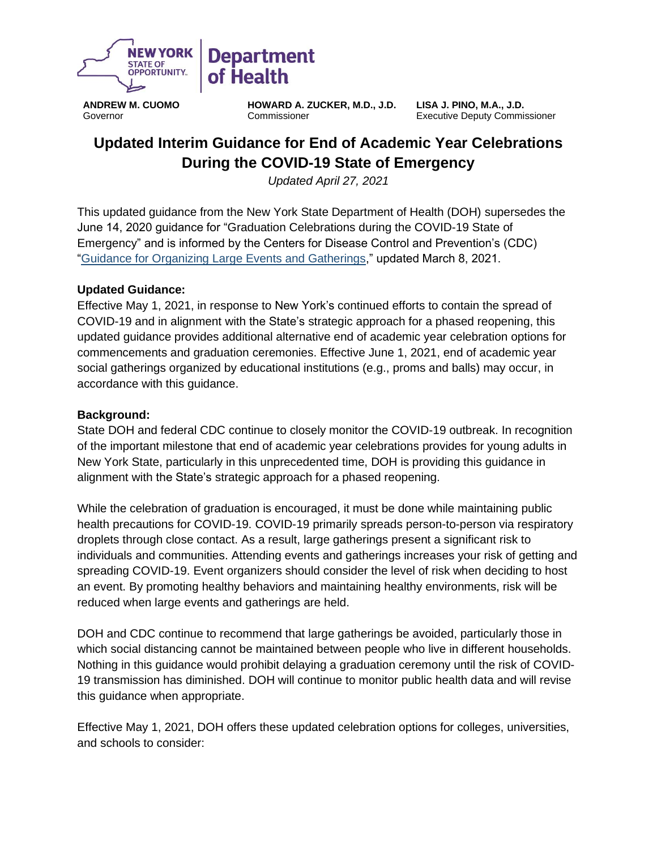

**ANDREW M. CUOMO** Governor

**HOWARD A. ZUCKER, M.D., J.D.** Commissioner

**LISA J. PINO, M.A., J.D.** Executive Deputy Commissioner

# **Updated Interim Guidance for End of Academic Year Celebrations During the COVID-19 State of Emergency**

*Updated April 27, 2021*

This updated guidance from the New York State Department of Health (DOH) supersedes the June 14, 2020 guidance for "Graduation Celebrations during the COVID-19 State of Emergency" and is informed by the Centers for Disease Control and Prevention's (CDC) ["Guidance for Organizing Large Events and Gatherings,](https://www.cdc.gov/coronavirus/2019-ncov/community/large-events/considerations-for-events-gatherings.html)" updated March 8, 2021.

### **Updated Guidance:**

Effective May 1, 2021, in response to New York's continued efforts to contain the spread of COVID-19 and in alignment with the State's strategic approach for a phased reopening, this updated guidance provides additional alternative end of academic year celebration options for commencements and graduation ceremonies. Effective June 1, 2021, end of academic year social gatherings organized by educational institutions (e.g., proms and balls) may occur, in accordance with this guidance.

#### **Background:**

State DOH and federal CDC continue to closely monitor the COVID-19 outbreak. In recognition of the important milestone that end of academic year celebrations provides for young adults in New York State, particularly in this unprecedented time, DOH is providing this guidance in alignment with the State's strategic approach for a phased reopening.

While the celebration of graduation is encouraged, it must be done while maintaining public health precautions for COVID-19. COVID-19 primarily spreads person-to-person via respiratory droplets through close contact. As a result, large gatherings present a significant risk to individuals and communities. Attending events and gatherings increases your risk of getting and spreading COVID-19. Event organizers should consider the level of risk when deciding to host an event. By promoting healthy behaviors and maintaining healthy environments, risk will be reduced when large events and gatherings are held.

DOH and CDC continue to recommend that large gatherings be avoided, particularly those in which social distancing cannot be maintained between people who live in different households. Nothing in this guidance would prohibit delaying a graduation ceremony until the risk of COVID-19 transmission has diminished. DOH will continue to monitor public health data and will revise this guidance when appropriate.

Effective May 1, 2021, DOH offers these updated celebration options for colleges, universities, and schools to consider: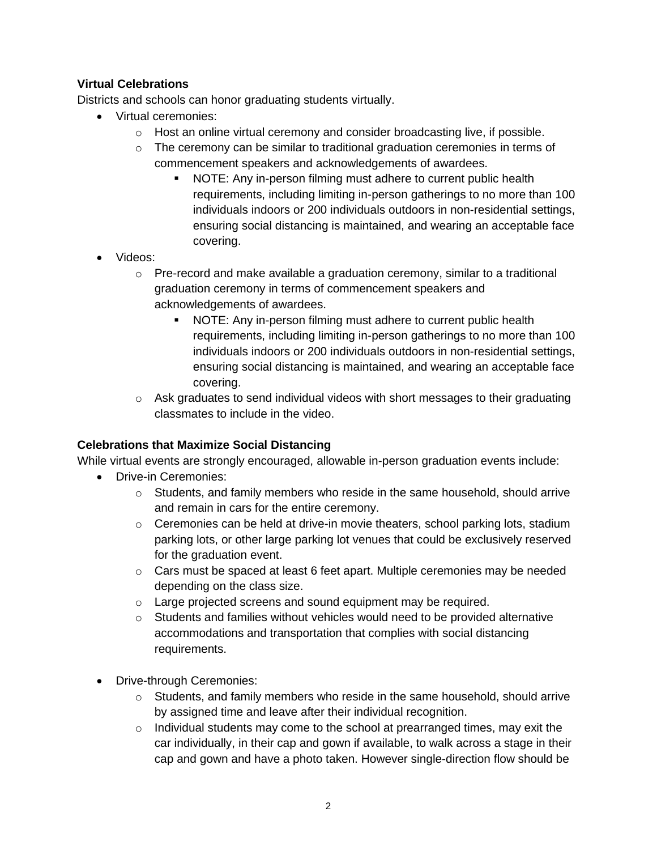# **Virtual Celebrations**

Districts and schools can honor graduating students virtually.

- Virtual ceremonies:
	- $\circ$  Host an online virtual ceremony and consider broadcasting live, if possible.
	- o The ceremony can be similar to traditional graduation ceremonies in terms of commencement speakers and acknowledgements of awardees.
		- NOTE: Any in-person filming must adhere to current public health requirements, including limiting in-person gatherings to no more than 100 individuals indoors or 200 individuals outdoors in non-residential settings, ensuring social distancing is maintained, and wearing an acceptable face covering.
- Videos:
	- $\circ$  Pre-record and make available a graduation ceremony, similar to a traditional graduation ceremony in terms of commencement speakers and acknowledgements of awardees.
		- NOTE: Any in-person filming must adhere to current public health requirements, including limiting in-person gatherings to no more than 100 individuals indoors or 200 individuals outdoors in non-residential settings, ensuring social distancing is maintained, and wearing an acceptable face covering.
	- $\circ$  Ask graduates to send individual videos with short messages to their graduating classmates to include in the video.

### **Celebrations that Maximize Social Distancing**

While virtual events are strongly encouraged, allowable in-person graduation events include:

- Drive-in Ceremonies:
	- $\circ$  Students, and family members who reside in the same household, should arrive and remain in cars for the entire ceremony.
	- $\circ$  Ceremonies can be held at drive-in movie theaters, school parking lots, stadium parking lots, or other large parking lot venues that could be exclusively reserved for the graduation event.
	- $\circ$  Cars must be spaced at least 6 feet apart. Multiple ceremonies may be needed depending on the class size.
	- o Large projected screens and sound equipment may be required.
	- $\circ$  Students and families without vehicles would need to be provided alternative accommodations and transportation that complies with social distancing requirements.
- Drive-through Ceremonies:
	- o Students, and family members who reside in the same household, should arrive by assigned time and leave after their individual recognition.
	- o Individual students may come to the school at prearranged times, may exit the car individually, in their cap and gown if available, to walk across a stage in their cap and gown and have a photo taken. However single-direction flow should be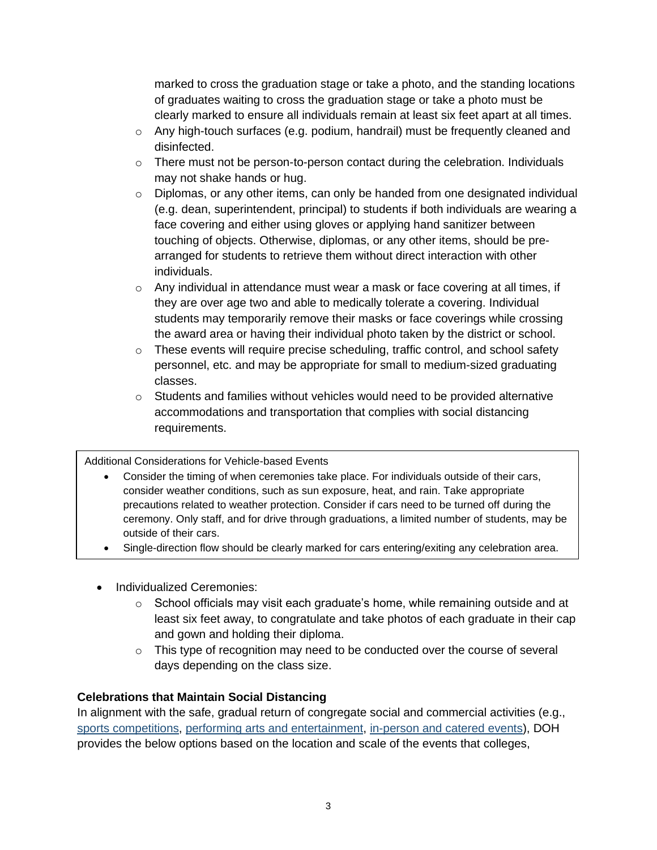marked to cross the graduation stage or take a photo, and the standing locations of graduates waiting to cross the graduation stage or take a photo must be clearly marked to ensure all individuals remain at least six feet apart at all times.

- $\circ$  Any high-touch surfaces (e.g. podium, handrail) must be frequently cleaned and disinfected.
- o There must not be person-to-person contact during the celebration. Individuals may not shake hands or hug.
- $\circ$  Diplomas, or any other items, can only be handed from one designated individual (e.g. dean, superintendent, principal) to students if both individuals are wearing a face covering and either using gloves or applying hand sanitizer between touching of objects. Otherwise, diplomas, or any other items, should be prearranged for students to retrieve them without direct interaction with other individuals.
- $\circ$  Any individual in attendance must wear a mask or face covering at all times, if they are over age two and able to medically tolerate a covering. Individual students may temporarily remove their masks or face coverings while crossing the award area or having their individual photo taken by the district or school.
- $\circ$  These events will require precise scheduling, traffic control, and school safety personnel, etc. and may be appropriate for small to medium-sized graduating classes.
- $\circ$  Students and families without vehicles would need to be provided alternative accommodations and transportation that complies with social distancing requirements.

#### Additional Considerations for Vehicle-based Events

- Consider the timing of when ceremonies take place. For individuals outside of their cars, consider weather conditions, such as sun exposure, heat, and rain. Take appropriate precautions related to weather protection. Consider if cars need to be turned off during the ceremony. Only staff, and for drive through graduations, a limited number of students, may be outside of their cars.
- Single-direction flow should be clearly marked for cars entering/exiting any celebration area.
- Individualized Ceremonies:
	- $\circ$  School officials may visit each graduate's home, while remaining outside and at least six feet away, to congratulate and take photos of each graduate in their cap and gown and holding their diploma.
	- $\circ$  This type of recognition may need to be conducted over the course of several days depending on the class size.

#### **Celebrations that Maintain Social Distancing**

In alignment with the safe, gradual return of congregate social and commercial activities (e.g., [sports competitions,](https://www.governor.ny.gov/sites/governor.ny.gov/files/atoms/files/PROFESSIONAL_SPORTS_WITH_FANS_MASTER_GUIDANCE.pdf) [performing arts and entertainment,](https://www.governor.ny.gov/sites/governor.ny.gov/files/atoms/files/Small_and_Medium_Performing_Arts_Detailed_Guidance.pdf) [in-person and catered events\)](https://www.governor.ny.gov/sites/governor.ny.gov/files/atoms/files/Indoor_and_Outdoor_Food_Services_Detailed_Guidelines.pdf), DOH provides the below options based on the location and scale of the events that colleges,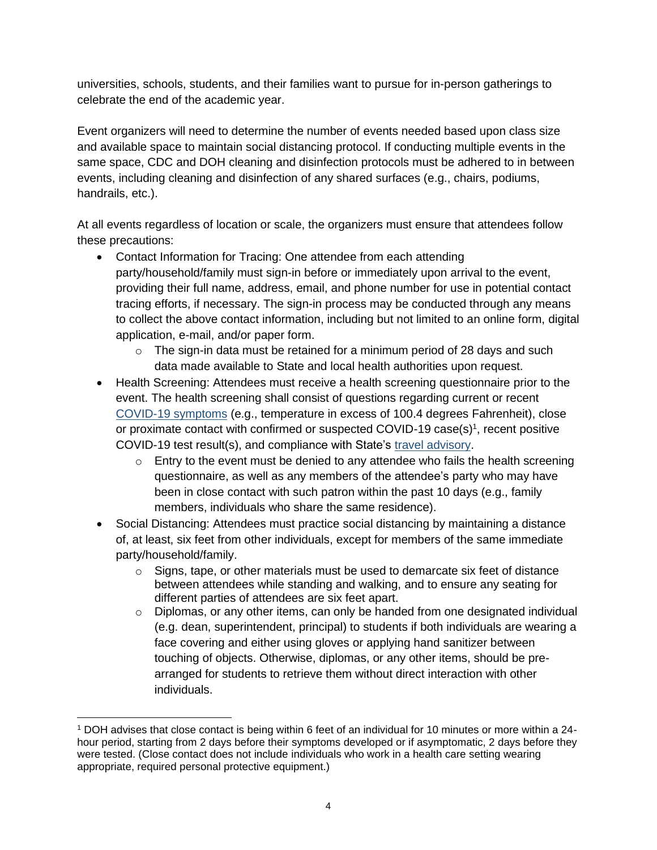universities, schools, students, and their families want to pursue for in-person gatherings to celebrate the end of the academic year.

Event organizers will need to determine the number of events needed based upon class size and available space to maintain social distancing protocol. If conducting multiple events in the same space, CDC and DOH cleaning and disinfection protocols must be adhered to in between events, including cleaning and disinfection of any shared surfaces (e.g., chairs, podiums, handrails, etc.).

At all events regardless of location or scale, the organizers must ensure that attendees follow these precautions:

- Contact Information for Tracing: One attendee from each attending party/household/family must sign-in before or immediately upon arrival to the event, providing their full name, address, email, and phone number for use in potential contact tracing efforts, if necessary. The sign-in process may be conducted through any means to collect the above contact information, including but not limited to an online form, digital application, e-mail, and/or paper form.
	- $\circ$  The sign-in data must be retained for a minimum period of 28 days and such data made available to State and local health authorities upon request.
- Health Screening: Attendees must receive a health screening questionnaire prior to the event. The health screening shall consist of questions regarding current or recent [COVID-19 symptoms](https://www.cdc.gov/coronavirus/2019-ncov/symptoms-testing/symptoms.html) (e.g., temperature in excess of 100.4 degrees Fahrenheit), close or proximate contact with confirmed or suspected COVID-19 case(s)<sup>1</sup>, recent positive COVID-19 test result(s), and compliance with State's [travel advisory.](https://coronavirus.health.ny.gov/covid-19-travel-advisory)
	- $\circ$  Entry to the event must be denied to any attendee who fails the health screening questionnaire, as well as any members of the attendee's party who may have been in close contact with such patron within the past 10 days (e.g., family members, individuals who share the same residence).
- Social Distancing: Attendees must practice social distancing by maintaining a distance of, at least, six feet from other individuals, except for members of the same immediate party/household/family.
	- $\circ$  Signs, tape, or other materials must be used to demarcate six feet of distance between attendees while standing and walking, and to ensure any seating for different parties of attendees are six feet apart.
	- $\circ$  Diplomas, or any other items, can only be handed from one designated individual (e.g. dean, superintendent, principal) to students if both individuals are wearing a face covering and either using gloves or applying hand sanitizer between touching of objects. Otherwise, diplomas, or any other items, should be prearranged for students to retrieve them without direct interaction with other individuals.

<sup>1</sup> DOH advises that close contact is being within 6 feet of an individual for 10 minutes or more within a 24 hour period, starting from 2 days before their symptoms developed or if asymptomatic, 2 days before they were tested. (Close contact does not include individuals who work in a health care setting wearing appropriate, required personal protective equipment.)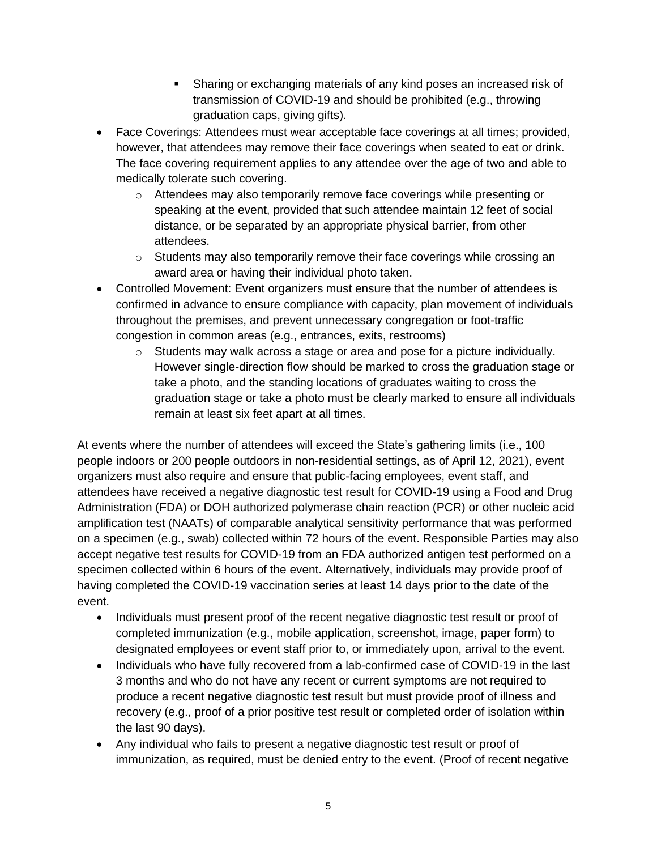- Sharing or exchanging materials of any kind poses an increased risk of transmission of COVID-19 and should be prohibited (e.g., throwing graduation caps, giving gifts).
- Face Coverings: Attendees must wear acceptable face coverings at all times; provided, however, that attendees may remove their face coverings when seated to eat or drink. The face covering requirement applies to any attendee over the age of two and able to medically tolerate such covering.
	- $\circ$  Attendees may also temporarily remove face coverings while presenting or speaking at the event, provided that such attendee maintain 12 feet of social distance, or be separated by an appropriate physical barrier, from other attendees.
	- $\circ$  Students may also temporarily remove their face coverings while crossing an award area or having their individual photo taken.
- Controlled Movement: Event organizers must ensure that the number of attendees is confirmed in advance to ensure compliance with capacity, plan movement of individuals throughout the premises, and prevent unnecessary congregation or foot-traffic congestion in common areas (e.g., entrances, exits, restrooms)
	- $\circ$  Students may walk across a stage or area and pose for a picture individually. However single-direction flow should be marked to cross the graduation stage or take a photo, and the standing locations of graduates waiting to cross the graduation stage or take a photo must be clearly marked to ensure all individuals remain at least six feet apart at all times.

At events where the number of attendees will exceed the State's gathering limits (i.e., 100 people indoors or 200 people outdoors in non-residential settings, as of April 12, 2021), event organizers must also require and ensure that public-facing employees, event staff, and attendees have received a negative diagnostic test result for COVID-19 using a Food and Drug Administration (FDA) or DOH authorized polymerase chain reaction (PCR) or other nucleic acid amplification test (NAATs) of comparable analytical sensitivity performance that was performed on a specimen (e.g., swab) collected within 72 hours of the event. Responsible Parties may also accept negative test results for COVID-19 from an FDA authorized antigen test performed on a specimen collected within 6 hours of the event. Alternatively, individuals may provide proof of having completed the COVID-19 vaccination series at least 14 days prior to the date of the event.

- Individuals must present proof of the recent negative diagnostic test result or proof of completed immunization (e.g., mobile application, screenshot, image, paper form) to designated employees or event staff prior to, or immediately upon, arrival to the event.
- Individuals who have fully recovered from a lab-confirmed case of COVID-19 in the last 3 months and who do not have any recent or current symptoms are not required to produce a recent negative diagnostic test result but must provide proof of illness and recovery (e.g., proof of a prior positive test result or completed order of isolation within the last 90 days).
- Any individual who fails to present a negative diagnostic test result or proof of immunization, as required, must be denied entry to the event. (Proof of recent negative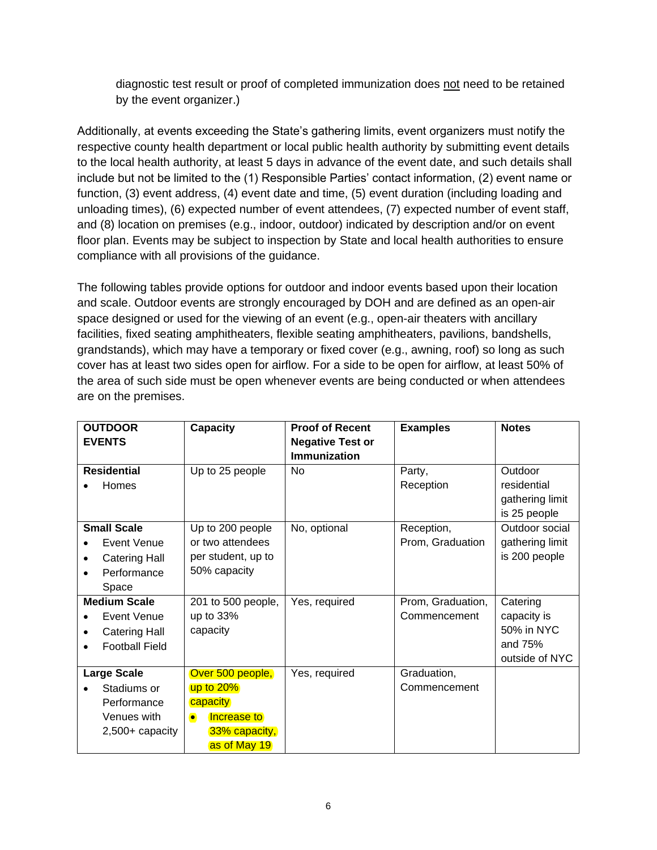diagnostic test result or proof of completed immunization does not need to be retained by the event organizer.)

Additionally, at events exceeding the State's gathering limits, event organizers must notify the respective county health department or local public health authority by submitting event details to the local health authority, at least 5 days in advance of the event date, and such details shall include but not be limited to the (1) Responsible Parties' contact information, (2) event name or function, (3) event address, (4) event date and time, (5) event duration (including loading and unloading times), (6) expected number of event attendees, (7) expected number of event staff, and (8) location on premises (e.g., indoor, outdoor) indicated by description and/or on event floor plan. Events may be subject to inspection by State and local health authorities to ensure compliance with all provisions of the guidance.

The following tables provide options for outdoor and indoor events based upon their location and scale. Outdoor events are strongly encouraged by DOH and are defined as an open-air space designed or used for the viewing of an event (e.g., open-air theaters with ancillary facilities, fixed seating amphitheaters, flexible seating amphitheaters, pavilions, bandshells, grandstands), which may have a temporary or fixed cover (e.g., awning, roof) so long as such cover has at least two sides open for airflow. For a side to be open for airflow, at least 50% of the area of such side must be open whenever events are being conducted or when attendees are on the premises.

| <b>OUTDOOR</b>            | <b>Capacity</b>          | <b>Proof of Recent</b>  | <b>Examples</b>   | <b>Notes</b>    |
|---------------------------|--------------------------|-------------------------|-------------------|-----------------|
| <b>EVENTS</b>             |                          | <b>Negative Test or</b> |                   |                 |
|                           |                          | <b>Immunization</b>     |                   |                 |
| <b>Residential</b>        | Up to 25 people          | No.                     | Party,            | Outdoor         |
| Homes                     |                          |                         | Reception         | residential     |
|                           |                          |                         |                   | gathering limit |
|                           |                          |                         |                   | is 25 people    |
| <b>Small Scale</b>        | Up to 200 people         | No, optional            | Reception,        | Outdoor social  |
| Event Venue               | or two attendees         |                         | Prom, Graduation  | gathering limit |
| <b>Catering Hall</b><br>٠ | per student, up to       |                         |                   | is 200 people   |
| Performance<br>$\bullet$  | 50% capacity             |                         |                   |                 |
| Space                     |                          |                         |                   |                 |
| <b>Medium Scale</b>       | 201 to 500 people,       | Yes, required           | Prom, Graduation, | Catering        |
| Event Venue               | up to 33%                |                         | Commencement      | capacity is     |
| <b>Catering Hall</b>      | capacity                 |                         |                   | 50% in NYC      |
| <b>Football Field</b>     |                          |                         |                   | and 75%         |
|                           |                          |                         |                   | outside of NYC  |
| <b>Large Scale</b>        | Over 500 people,         | Yes, required           | Graduation,       |                 |
| Stadiums or               | up to 20%                |                         | Commencement      |                 |
| Performance               | capacity                 |                         |                   |                 |
| Venues with               | Increase to<br>$\bullet$ |                         |                   |                 |
| $2,500+$ capacity         | 33% capacity,            |                         |                   |                 |
|                           | as of May 19             |                         |                   |                 |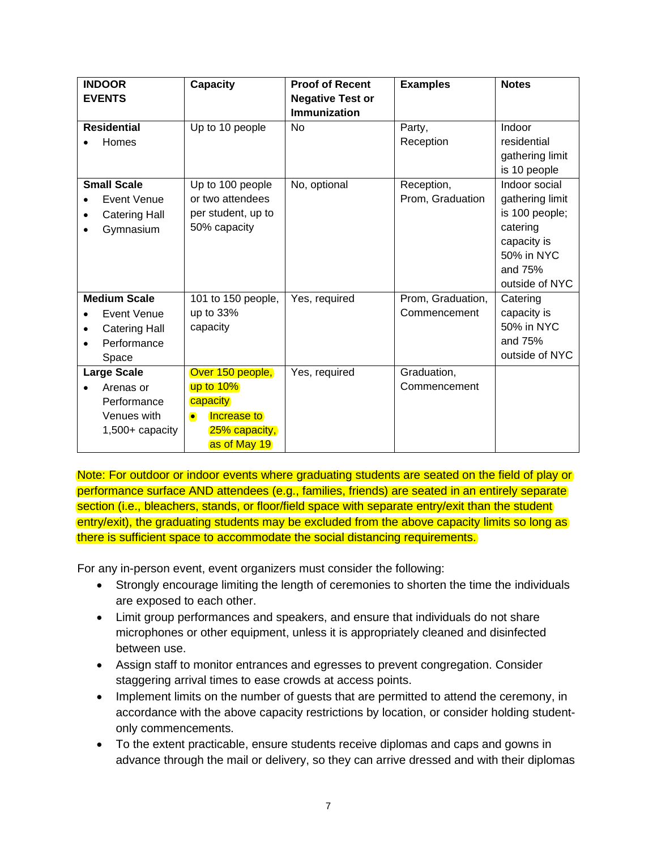| <b>INDOOR</b><br><b>EVENTS</b> | Capacity                 | <b>Proof of Recent</b><br><b>Negative Test or</b> | <b>Examples</b>   | <b>Notes</b>    |
|--------------------------------|--------------------------|---------------------------------------------------|-------------------|-----------------|
|                                |                          | <b>Immunization</b>                               |                   |                 |
| <b>Residential</b>             | Up to 10 people          | <b>No</b>                                         | Party,            | Indoor          |
| Homes                          |                          |                                                   | Reception         | residential     |
|                                |                          |                                                   |                   | gathering limit |
|                                |                          |                                                   |                   | is 10 people    |
| <b>Small Scale</b>             | Up to 100 people         | No, optional                                      | Reception,        | Indoor social   |
| Event Venue                    | or two attendees         |                                                   | Prom, Graduation  | gathering limit |
| <b>Catering Hall</b>           | per student, up to       |                                                   |                   | is 100 people;  |
| Gymnasium                      | 50% capacity             |                                                   |                   | catering        |
|                                |                          |                                                   |                   | capacity is     |
|                                |                          |                                                   |                   | 50% in NYC      |
|                                |                          |                                                   |                   | and 75%         |
|                                |                          |                                                   |                   | outside of NYC  |
| <b>Medium Scale</b>            | 101 to 150 people,       | Yes, required                                     | Prom, Graduation, | Catering        |
| Event Venue                    | up to 33%                |                                                   | Commencement      | capacity is     |
| <b>Catering Hall</b><br>٠      | capacity                 |                                                   |                   | 50% in NYC      |
| Performance                    |                          |                                                   |                   | and 75%         |
| Space                          |                          |                                                   |                   | outside of NYC  |
| <b>Large Scale</b>             | Over 150 people,         | Yes, required                                     | Graduation,       |                 |
| Arenas or                      | up to 10%                |                                                   | Commencement      |                 |
| Performance                    | capacity                 |                                                   |                   |                 |
| Venues with                    | Increase to<br>$\bullet$ |                                                   |                   |                 |
| $1,500+$ capacity              | 25% capacity,            |                                                   |                   |                 |
|                                | as of May 19             |                                                   |                   |                 |

Note: For outdoor or indoor events where graduating students are seated on the field of play or performance surface AND attendees (e.g., families, friends) are seated in an entirely separate section (i.e., bleachers, stands, or floor/field space with separate entry/exit than the student entry/exit), the graduating students may be excluded from the above capacity limits so long as there is sufficient space to accommodate the social distancing requirements.

For any in-person event, event organizers must consider the following:

- Strongly encourage limiting the length of ceremonies to shorten the time the individuals are exposed to each other.
- Limit group performances and speakers, and ensure that individuals do not share microphones or other equipment, unless it is appropriately cleaned and disinfected between use.
- Assign staff to monitor entrances and egresses to prevent congregation. Consider staggering arrival times to ease crowds at access points.
- Implement limits on the number of guests that are permitted to attend the ceremony, in accordance with the above capacity restrictions by location, or consider holding studentonly commencements.
- To the extent practicable, ensure students receive diplomas and caps and gowns in advance through the mail or delivery, so they can arrive dressed and with their diplomas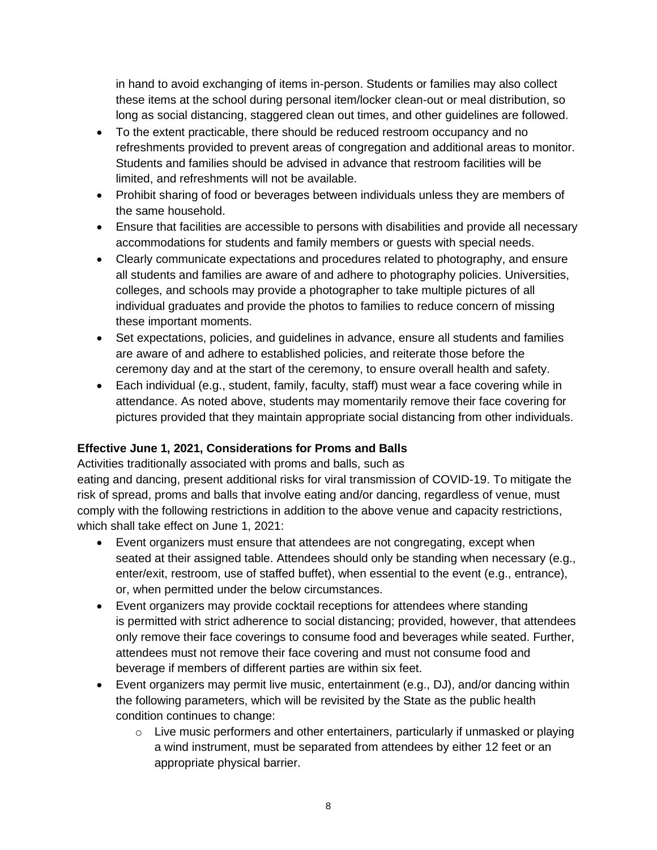in hand to avoid exchanging of items in-person. Students or families may also collect these items at the school during personal item/locker clean-out or meal distribution, so long as social distancing, staggered clean out times, and other guidelines are followed.

- To the extent practicable, there should be reduced restroom occupancy and no refreshments provided to prevent areas of congregation and additional areas to monitor. Students and families should be advised in advance that restroom facilities will be limited, and refreshments will not be available.
- Prohibit sharing of food or beverages between individuals unless they are members of the same household.
- Ensure that facilities are accessible to persons with disabilities and provide all necessary accommodations for students and family members or guests with special needs.
- Clearly communicate expectations and procedures related to photography, and ensure all students and families are aware of and adhere to photography policies. Universities, colleges, and schools may provide a photographer to take multiple pictures of all individual graduates and provide the photos to families to reduce concern of missing these important moments.
- Set expectations, policies, and guidelines in advance, ensure all students and families are aware of and adhere to established policies, and reiterate those before the ceremony day and at the start of the ceremony, to ensure overall health and safety.
- Each individual (e.g., student, family, faculty, staff) must wear a face covering while in attendance. As noted above, students may momentarily remove their face covering for pictures provided that they maintain appropriate social distancing from other individuals.

### **Effective June 1, 2021, Considerations for Proms and Balls**

Activities traditionally associated with proms and balls, such as

eating and dancing, present additional risks for viral transmission of COVID-19. To mitigate the risk of spread, proms and balls that involve eating and/or dancing, regardless of venue, must comply with the following restrictions in addition to the above venue and capacity restrictions, which shall take effect on June 1, 2021:

- Event organizers must ensure that attendees are not congregating, except when seated at their assigned table. Attendees should only be standing when necessary (e.g., enter/exit, restroom, use of staffed buffet), when essential to the event (e.g., entrance), or, when permitted under the below circumstances.
- Event organizers may provide cocktail receptions for attendees where standing is permitted with strict adherence to social distancing; provided, however, that attendees only remove their face coverings to consume food and beverages while seated. Further, attendees must not remove their face covering and must not consume food and beverage if members of different parties are within six feet.
- Event organizers may permit live music, entertainment (e.g., DJ), and/or dancing within the following parameters, which will be revisited by the State as the public health condition continues to change:
	- o Live music performers and other entertainers, particularly if unmasked or playing a wind instrument, must be separated from attendees by either 12 feet or an appropriate physical barrier.